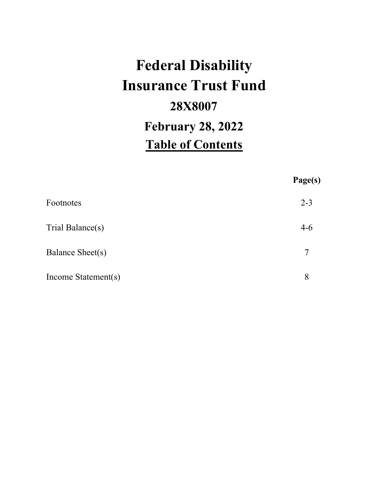# **Federal Disability Insurance Trust Fund 28X8007 February 28, 2022 Table of Contents**

|                     | Page(s) |
|---------------------|---------|
| Footnotes           | $2 - 3$ |
| Trial Balance(s)    | $4-6$   |
| Balance Sheet(s)    | 7       |
| Income Statement(s) | 8       |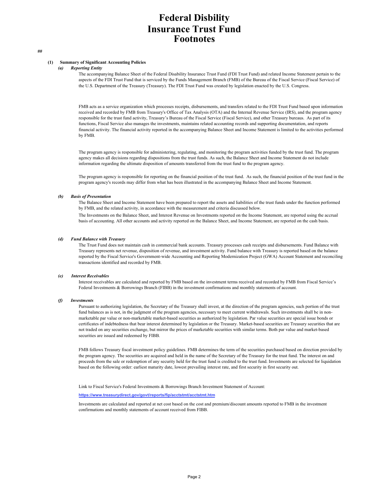## **Federal Disbility Insurance Trust Fund Footnotes**

#### **(1) Summary of Significant Accounting Policies**

#### *(a) Reporting Entity*

The accompanying Balance Sheet of the Federal Disability Insurance Trust Fund (FDI Trust Fund) and related Income Statement pertain to the aspects of the FDI Trust Fund that is serviced by the Funds Management Branch (FMB) of the Bureau of the Fiscal Service (Fiscal Service) of the U.S. Department of the Treasury (Treasury). The FDI Trust Fund was created by legislation enacted by the U.S. Congress.

FMB acts as a service organization which processes receipts, disbursements, and transfers related to the FDI Trust Fund based upon information received and recorded by FMB from Treasury's Office of Tax Analysis (OTA) and the Internal Revenue Service (IRS), and the program agency responsible for the trust fund activity, Treasury's Bureau of the Fiscal Service (Fiscal Service), and other Treasury bureaus. As part of its functions, Fiscal Service also manages the investments, maintains related accounting records and supporting documentation, and reports financial activity. The financial activity reported in the accompanying Balance Sheet and Income Statement is limited to the activities performed by FMB.

The program agency is responsible for administering, regulating, and monitoring the program activities funded by the trust fund. The program agency makes all decisions regarding dispositions from the trust funds. As such, the Balance Sheet and Income Statement do not include information regarding the ultimate disposition of amounts transferred from the trust fund to the program agency.

The program agency is responsible for reporting on the financial position of the trust fund. As such, the financial position of the trust fund in the program agency's records may differ from what has been illustrated in the accompanying Balance Sheet and Income Statement.

#### *(b) Basis of Presentation*

The Balance Sheet and Income Statement have been prepared to report the assets and liabilities of the trust funds under the function performed by FMB, and the related activity, in accordance with the measurement and criteria discussed below.

The Investments on the Balance Sheet, and Interest Revenue on Investments reported on the Income Statement, are reported using the accrual basis of accounting. All other accounts and activity reported on the Balance Sheet, and Income Statement, are reported on the cash basis.

#### *(d) Fund Balance with Treasury*

The Trust Fund does not maintain cash in commercial bank accounts. Treasury processes cash receipts and disbursements. Fund Balance with Treasury represents net revenue, disposition of revenue, and investment activity. Fund balance with Treasury is reported based on the balance reported by the Fiscal Service's Government-wide Accounting and Reporting Modernization Project (GWA) Account Statement and reconciling transactions identified and recorded by FMB.

#### *(e) Interest Receivables*

Interest receivables are calculated and reported by FMB based on the investment terms received and recorded by FMB from Fiscal Service's Federal Investments & Borrowings Branch (FIBB) in the investment confirmations and monthly statements of account.

#### *(f) Investments*

Pursuant to authorizing legislation, the Secretary of the Treasury shall invest, at the direction of the program agencies, such portion of the trust fund balances as is not, in the judgment of the program agencies, necessary to meet current withdrawals. Such investments shall be in nonmarketable par value or non-marketable market-based securities as authorized by legislation. Par value securities are special issue bonds or certificates of indebtedness that bear interest determined by legislation or the Treasury. Market-based securities are Treasury securities that are not traded on any securities exchange, but mirror the prices of marketable securities with similar terms. Both par value and market-based securities are issued and redeemed by FIBB.

FMB follows Treasury fiscal investment policy guidelines. FMB determines the term of the securities purchased based on direction provided by the program agency. The securities are acquired and held in the name of the Secretary of the Treasury for the trust fund. The interest on and proceeds from the sale or redemption of any security held for the trust fund is credited to the trust fund. Investments are selected for liquidation based on the following order: earliest maturity date, lowest prevailing interest rate, and first security in first security out.

Link to Fiscal Service's Federal Investments & Borrowings Branch Investment Statement of Account:

#### **https://www.treasurydirect.gov/govt/reports/fip/acctstmt/acctstmt.htm**

Investments are calculated and reported at net cost based on the cost and premium/discount amounts reported to FMB in the investment confirmations and monthly statements of account received from FIBB.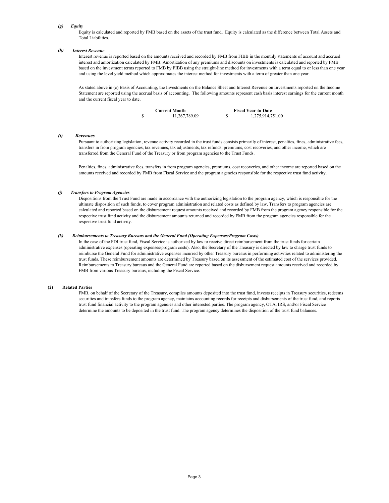#### *(g) Equity*

Equity is calculated and reported by FMB based on the assets of the trust fund. Equity is calculated as the difference between Total Assets and Total Liabilities.

#### *(h) Interest Revenue*

Interest revenue is reported based on the amounts received and recorded by FMB from FIBB in the monthly statements of account and accrued interest and amortization calculated by FMB. Amortization of any premiums and discounts on investments is calculated and reported by FMB based on the investment terms reported to FMB by FIBB using the straight-line method for investments with a term equal to or less than one year and using the level yield method which approximates the interest method for investments with a term of greater than one year.

As stated above in (c) Basis of Accounting, the Investments on the Balance Sheet and Interest Revenue on Investments reported on the Income Statement are reported using the accrual basis of accounting. The following amounts represent cash basis interest earnings for the current month and the current fiscal year to date.



#### *(i) Revenues*

Pursuant to authorizing legislation, revenue activity recorded in the trust funds consists primarily of interest, penalties, fines, administrative fees, transfers in from program agencies, tax revenues, tax adjustments, tax refunds, premiums, cost recoveries, and other income, which are transferred from the General Fund of the Treasury or from program agencies to the Trust Funds.

Penalties, fines, administrative fees, transfers in from program agencies, premiums, cost recoveries, and other income are reported based on the amounts received and recorded by FMB from Fiscal Service and the program agencies responsible for the respective trust fund activity.

#### *(j) Transfers to Program Agencies*

Dispositions from the Trust Fund are made in accordance with the authorizing legislation to the program agency, which is responsible for the ultimate disposition of such funds, to cover program administration and related costs as defined by law. Transfers to program agencies are calculated and reported based on the disbursement request amounts received and recorded by FMB from the program agency responsible for the respective trust fund activity and the disbursement amounts returned and recorded by FMB from the program agencies responsible for the respective trust fund activity.

#### *(k) Reimbursements to Treasury Bureaus and the General Fund (Operating Expenses/Program Costs)*

In the case of the FDI trust fund, Fiscal Service is authorized by law to receive direct reimbursement from the trust funds for certain administrative expenses (operating expenses/program costs). Also, the Secretary of the Treasury is directed by law to charge trust funds to reimburse the General Fund for administrative expenses incurred by other Treasury bureaus in performing activities related to administering the trust funds. These reimbursement amounts are determined by Treasury based on its assessment of the estimated cost of the services provided. Reimbursements to Treasury bureaus and the General Fund are reported based on the disbursement request amounts received and recorded by FMB from various Treasury bureaus, including the Fiscal Service.

#### **(2) Related Parties**

FMB, on behalf of the Secretary of the Treasury, compiles amounts deposited into the trust fund, invests receipts in Treasury securities, redeems securities and transfers funds to the program agency, maintains accounting records for receipts and disbursements of the trust fund, and reports trust fund financial activity to the program agencies and other interested parties. The program agency, OTA, IRS, and/or Fiscal Service determine the amounts to be deposited in the trust fund. The program agency determines the disposition of the trust fund balances.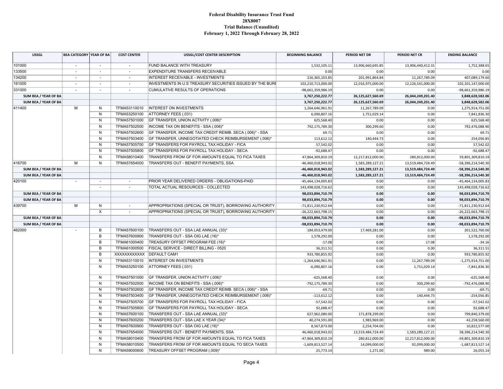#### **Federal Disability Insurance Trust Fund 28X8007 Trial Balance (Unaudited) February 1, 2022 Through February 28, 2022**

| <b>USSGL</b>         | <b>BEA CATEGORY YEAR OF BA</b> |                          | <b>COST CENTER</b>       | <b>USSGL/COST CENTER DESCRIPTION</b>                                                                 | <b>BEGINNING BALANCE</b> | PERIOD NET DR      | PERIOD NET CR      | <b>ENDING BALANCE</b> |
|----------------------|--------------------------------|--------------------------|--------------------------|------------------------------------------------------------------------------------------------------|--------------------------|--------------------|--------------------|-----------------------|
| 101000               | $\sim$                         | $\overline{\phantom{a}}$ | $\sim$                   | FUND BALANCE WITH TREASURY                                                                           | 1,532,105.11             | 13,906,660,695.85  | 13,906,440,412.31  | 1,752,388.65          |
| 133500               |                                | $\sim$                   |                          | <b>EXPENDITURE TRANSFERS RECEIVABLE</b>                                                              | 0.00                     | 0.00               | 0.00               | 0.00                  |
| 134200               | $\sim$                         | $\sim$                   | $\sim$                   | <b>INTEREST RECEIVABLE - INVESTMENTS</b>                                                             | 216, 365, 103.85         | 201,991,864.84     | 11,267,789.09      | 407,089,179.60        |
| 161000               |                                | $\sim$                   |                          | INVESTMENTS IN U.S TREASURY SECURITIES ISSUED BY THE BURE<br>102,210,713,000.00<br>12,016,975,000.00 |                          | 12,126,541,000.00  | 102,101,147,000.00 |                       |
| 331000               | $\overline{\phantom{a}}$       | $\sim$                   | $\sim$                   | <b>CUMULATIVE RESULTS OF OPERATIONS</b>                                                              | -98,661,359,986.19       | 0.00               | 0.00               | -98,661,359,986.19    |
| SUM BEA / YEAR OF BA |                                |                          |                          |                                                                                                      | 3,767,250,222.77         | 26,125,627,560.69  | 26,044,249,201.40  | 3,848,628,582.06      |
| SUM BEA / YEAR OF BA |                                |                          |                          |                                                                                                      | 3,767,250,222.77         | 26,125,627,560.69  | 26,044,249,201.40  | 3,848,628,582.06      |
| 411400               | M                              | N                        | TFMA53110010             | <b>INTEREST ON INVESTMENTS</b>                                                                       | 1,264,646,961.91         | 11,267,789.09      | 0.00               | 1,275,914,751.00      |
|                      |                                | N                        | TFMA53250100             | ATTORNEY FEES (.031)                                                                                 | 6,090,807.16             | 1,751,029.14       | 0.00               | 7,841,836.30          |
|                      |                                | N                        | TFMA57501000             | GF TRANSFER, UNION ACTIVITY (.006)*                                                                  | 625,568.40               | 0.00               | 0.00               | 625,568.40            |
|                      |                                | N                        | TFMA57502500             | INCOME TAX ON BENEFITS - SSA (.006)*                                                                 | 792,175,789.30           | 300,299.60         | 0.00               | 792,476,088.90        |
|                      |                                | N                        | TFMA57502600             | GF TRANSFER, INCOME TAX CREDIT REIMB. SECA (.006)* - SSA                                             | 69.71                    | 0.00               | 0.00               | 69.71                 |
|                      |                                | N                        | TFMA57503400             | GF TRANSFER, UNNEGOTIATED CHECK REIMBURSEMENT (.006)*                                                | 113,612.12               | 140,444.73         | 0.00               | 254,056.85            |
|                      |                                | N                        | TFMA57505700             | GF TRANSFERS FOR PAYROLL TAX HOLIDAY - FICA                                                          | 57,542.02                | 0.00               | 0.00               | 57,542.02             |
|                      |                                | N                        | TFMA57505800             | GF TRANSFERS FOR PAYROLL TAX HOLIDAY - SECA                                                          | $-92,688.47$             | 0.00               | 0.00               | $-92,688.47$          |
|                      |                                | N                        | TFMA58010400             | TRANSFERS FROM GF FOR AMOUNTS EQUAL TO FICA TAXES                                                    | 47,864,309,810.19        | 12,217,812,000.00  | 280,812,000.00     | 59,801,309,810.19     |
| 416700               | м                              | N                        | TFMA57654000             | TRANSFERS OUT - BENEFIT PAYMENTS, SSA                                                                | -46,460,018,943.02       | 1,583,289,127.21   | 13,519,484,724.49  | -58,396,214,540.30    |
| SUM BEA / YEAR OF BA |                                |                          |                          |                                                                                                      | -46,460,018,943.02       | 1,583,289,127.21   | 13,519,484,724.49  | -58,396,214,540.30    |
| SUM BEA / YEAR OF BA |                                |                          |                          |                                                                                                      | -46,460,018,943.02       | 1,583,289,127.21   | 13,519,484,724.49  | -58,396,214,540.30    |
| 420100               |                                | $\overline{\phantom{a}}$ | $\overline{\phantom{a}}$ | PRIOR YEAR DELIVERED ORDERS - OBLIGATIONS-PAID                                                       | -45,464,134,005.83       | 0.00               | 0.00               | -45,464,134,005.83    |
|                      |                                | $\overline{\phantom{a}}$ | $\sim$                   | TOTAL ACTUAL RESOURCES - COLLECTED                                                                   | 143,498,028,716.62       | 0.00               | 0.00               | 143,498,028,716.62    |
|                      | SUM BEA / YEAR OF BA           |                          | 98,033,894,710.79        | 0.00                                                                                                 | 0.00                     | 98,033,894,710.79  |                    |                       |
| SUM BEA / YEAR OF BA | 98,033,894,710.79<br>0.00      |                          | 0.00                     | 98,033,894,710.79                                                                                    |                          |                    |                    |                       |
| 439700               | M                              | N                        | $\sim$                   | APPROPRIATIONS (SPECIAL OR TRUST), BORROWING AUTHORITY                                               | -71,811,230,912.64       | 0.00               | 0.00               | -71,811,230,912.64    |
|                      |                                | X                        | $\sim$                   | APPROPRIATIONS (SPECIAL OR TRUST), BORROWING AUTHORITY                                               | $-26,222,663,798.15$     | 0.00               | 0.00               | $-26,222,663,798.15$  |
| SUM BEA / YEAR OF BA |                                |                          | -98,033,894,710.79       | 0.00                                                                                                 | 0.00                     | -98,033,894,710.79 |                    |                       |
| SUM BEA / YEAR OF BA |                                |                          |                          |                                                                                                      | -98,033,894,710.79       | 0.00               | 0.00               | -98,033,894,710.79    |
| 462000               |                                | B                        | TFMA57600100             | TRANSFERS OUT - SSA LAE ANNUAL (33)*                                                                 | 184,053,479.00           | 17,469,281.00      | 0.00               | 201,522,760.00        |
|                      |                                | B                        | TFMA57600900             | TRANSFERS OUT - SSA OIG LAE (16)*                                                                    | 1,578,292.00             | 0.00               | 0.00               | 1,578,292.00          |
|                      |                                | B                        | TFMA61000400             | TREASURY OFFSET PROGRAM FEE (16)*                                                                    | $-17.08$                 | 0.00               | 17.08              | $-34.16$              |
|                      |                                | B                        | TFMA61000500             | <b>FISCAL SERVICE - DIRECT BILLING - 0520</b>                                                        | 36,311.51                | 0.00               | 0.00               | 36,311.51             |
|                      |                                | B                        | XXXXXXXXXXX DEFAULT CAM1 |                                                                                                      | 933,780,855.92           | 0.00               | 0.00               | 933,780,855.92        |
|                      |                                | N                        | TFMA53110010             | <b>INTEREST ON INVESTMENTS</b>                                                                       | $-1,264,646,961.91$      | 0.00               | 11,267,789.09      | $-1,275,914,751.00$   |
|                      |                                | N                        | TFMA53250100             | ATTORNEY FEES (.031)                                                                                 | $-6,090,807.16$          | 0.00               | 1,751,029.14       | $-7,841,836.30$       |
|                      |                                | N                        | TFMA57501000             | GF TRANSFER, UNION ACTIVITY (.006)*                                                                  | $-625,568.40$            | 0.00               | 0.00               | $-625,568.40$         |
|                      |                                | N                        | TFMA57502500             | INCOME TAX ON BENEFITS - SSA (.006)*                                                                 | -792,175,789.30          | 0.00               | 300,299.60         | -792,476,088.90       |
|                      |                                | N                        | TFMA57502600             | GF TRANSFER, INCOME TAX CREDIT REIMB. SECA (.006)* - SSA                                             | $-69.71$                 | 0.00               | 0.00               | $-69.71$              |
|                      |                                | N                        | TFMA57503400             | GF TRANSFER, UNNEGOTIATED CHECK REIMBURSEMENT (.006)*                                                | $-113,612.12$            | 0.00               | 140,444.73         | $-254,056.85$         |
|                      |                                | N                        | TFMA57505700             | GF TRANSFERS FOR PAYROLL TAX HOLIDAY - FICA                                                          | $-57,542.02$             | 0.00               | 0.00               | $-57,542.02$          |
|                      |                                | N                        | TFMA57505800             | GF TRANSFERS FOR PAYROLL TAX HOLIDAY - SECA                                                          | 92,688.47                | 0.00               | 0.00               | 92,688.47             |
|                      |                                | N                        | TFMA57600100             | TRANSFERS OUT - SSA LAE ANNUAL (33)*                                                                 | 627,962,080.00           | 171,878,299.00     | 0.00               | 799,840,379.00        |
|                      |                                | N                        | TFMA57600200             | TRANSFERS OUT - SSA LAE X YEAR (34)*                                                                 | 40,274,591.00            | 1,983,969.00       | 0.00               | 42,258,560.00         |
|                      |                                | N                        | TFMA57600900             | TRANSFERS OUT - SSA OIG LAE (16)*                                                                    | 8,567,873.00             | 2,254,704.00       | 0.00               | 10,822,577.00         |
|                      |                                | N                        | TFMA57654000             | TRANSFERS OUT - BENEFIT PAYMENTS, SSA                                                                | 46,460,018,943.02        | 13,519,484,724.49  | 1,583,289,127.21   | 58,396,214,540.30     |
|                      |                                | N                        | TFMA58010400             | TRANSFERS FROM GF FOR AMOUNTS EQUAL TO FICA TAXES                                                    | -47,864,309,810.19       | 280,812,000.00     | 12,217,812,000.00  | -59,801,309,810.19    |
|                      |                                | N                        | TFMA58010500             | TRANSFERS FROM GF FOR AMOUNTS EQUAL TO SECA TAXES                                                    | $-1,609,813,527.14$      | 14,099,000.00      | 92,099,000.00      | $-1,687,813,527.14$   |
|                      |                                | N                        | TFMA59000600             | TREASURY OFFSET PROGRAM (.009)*                                                                      | 25,773.14                | 1,271.00           | 989.00             | 26,055.14             |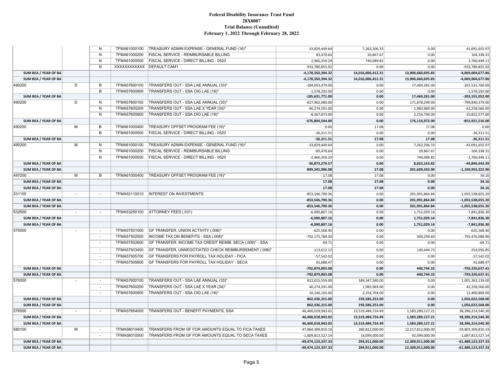#### **Federal Disability Insurance Trust Fund 28X8007 Trial Balance (Unaudited) February 1, 2022 Through February 28, 2022**

|                      |                          | N                        | TFMA61000100             | TREASURY ADMIN EXPENSE - GENERAL FUND (16)*              | 33,829,449.64       | 7,262,206.33      | 0.00              | 41,091,655.97        |
|----------------------|--------------------------|--------------------------|--------------------------|----------------------------------------------------------|---------------------|-------------------|-------------------|----------------------|
|                      |                          | N                        | TFMA61000200             | <b>FISCAL SERVICE - REIMBURSABLE BILLING</b>             | 83,470.64           | 20,867.67         | 0.00              | 104,338.31           |
|                      |                          | N                        | TFMA61000500             | FISCAL SERVICE - DIRECT BILLING - 0520                   | 2,960,359.29        | 740,089.82        | 0.00              | 3,700,449.11         |
|                      |                          | N                        | XXXXXXXXXXX DEFAULT CAM1 |                                                          | -933,780,855.92     | 0.00              | 0.00              | $-933,780,855.92$    |
| SUM BEA / YEAR OF BA |                          |                          |                          |                                                          | -4,178,350,394.32   | 14,016,006,412.31 | 13,906,660,695.85 | -4,069,004,677.86    |
| SUM BEA / YEAR OF BA |                          |                          |                          |                                                          | -4,178,350,394.32   | 14,016,006,412.31 | 13,906,660,695.85 | -4,069,004,677.86    |
| 490200               | D                        | В                        | TFMA57600100             | TRANSFERS OUT - SSA LAE ANNUAL (33)*                     | $-184,053,479.00$   | 0.00              | 17,469,281.00     | $-201,522,760.00$    |
|                      |                          | B                        | TFMA57600900             | TRANSFERS OUT - SSA OIG LAE (16)*                        | $-1,578,292.00$     | 0.00              | 0.00              | $-1,578,292.00$      |
| SUM BEA / YEAR OF BA |                          |                          |                          |                                                          | $-185,631,771.00$   | 0.00              | 17,469,281.00     | $-203,101,052.00$    |
| 490200               | D                        | N                        | TFMA57600100             | TRANSFERS OUT - SSA LAE ANNUAL (33)*                     | $-627,962,080.00$   | 0.00              | 171,878,299.00    | $-799,840,379.00$    |
|                      |                          | N                        | TFMA57600200             | TRANSFERS OUT - SSA LAE X YEAR (34)*                     | $-40,274,591.00$    | 0.00              | 1,983,969.00      | $-42,258,560.00$     |
|                      |                          | $\mathsf{N}$             | TFMA57600900             | TRANSFERS OUT - SSA OIG LAE (16)*                        | $-8,567,873.00$     | 0.00              | 2,254,704.00      | $-10,822,577.00$     |
| SUM BEA / YEAR OF BA |                          |                          |                          |                                                          | -676,804,544.00     | 0.00              | 176,116,972.00    | $-852,921,516.00$    |
| 490200               | M                        | B                        | TFMA61000400             | TREASURY OFFSET PROGRAM FEE (16)*                        | 0.00                | 17.08             | 17.08             | 0.00                 |
|                      |                          | B                        | TFMA61000500             | FISCAL SERVICE - DIRECT BILLING - 0520                   | $-36,311.51$        | 0.00              | 0.00              | $-36,311.51$         |
| SUM BEA / YEAR OF BA |                          |                          |                          |                                                          | $-36,311.51$        | 17.08             | 17.08             | $-36,311.51$         |
| 490200               | м                        | N                        | TFMA61000100             | TREASURY ADMIN EXPENSE - GENERAL FUND (16)*              | -33,829,449.64      | 0.00              | 7,262,206.33      | $-41,091,655.97$     |
|                      |                          | $\mathsf{N}$             | TFMA61000200             | <b>FISCAL SERVICE - REIMBURSABLE BILLING</b>             | $-83,470.64$        | 0.00              | 20,867.67         | $-104,338.31$        |
|                      |                          | N                        | TFMA61000500             | FISCAL SERVICE - DIRECT BILLING - 0520                   | $-2,960,359.29$     | 0.00              | 740,089.82        | $-3,700,449.11$      |
| SUM BEA / YEAR OF BA |                          |                          |                          |                                                          | -36,873,279.57      | 0.00              | 8,023,163.82      | -44,896,443.39       |
| SUM BEA / YEAR OF BA |                          |                          |                          |                                                          | -899,345,906.08     | 17.08             | 201,609,433.90    | $-1,100,955,322.90$  |
| 497200               | M                        | B                        | TFMA61000400             | TREASURY OFFSET PROGRAM FEE (16)*                        | 17.08               | 17.08             | 0.00              | 34.16                |
| SUM BEA / YEAR OF BA |                          |                          |                          |                                                          | 17.08               | 17.08             | 0.00              | 34.16                |
| SUM BEA / YEAR OF BA |                          |                          |                          |                                                          | 17.08               | 17.08             | 0.00              | 34.16                |
| 531100               | $\blacksquare$           | $\overline{\phantom{a}}$ | TFMA53110010             | <b>INTEREST ON INVESTMENTS</b>                           | -853,546,790.36     | 0.00              | 201,991,864.84    | $-1,055,538,655.20$  |
| SUM BEA / YEAR OF BA |                          |                          |                          |                                                          | -853,546,790.36     | 0.00              | 201,991,864.84    | $-1,055,538,655.20$  |
| SUM BEA / YEAR OF BA |                          |                          |                          |                                                          | -853,546,790.36     | 0.00              | 201,991,864.84    | $-1,055,538,655.20$  |
| 532500               | $\sim$                   | ÷.                       | TFMA53250100             | ATTORNEY FEES (.031)                                     | $-6,090,807.16$     | 0.00              | 1,751,029.14      | $-7,841,836.30$      |
| SUM BEA / YEAR OF BA |                          |                          |                          |                                                          | $-6,090,807.16$     | 0.00              | 1,751,029.14      | $-7,841,836.30$      |
| SUM BEA / YEAR OF BA |                          |                          |                          |                                                          | $-6,090,807.16$     | 0.00              | 1,751,029.14      | $-7,841,836.30$      |
| 575000               | $\overline{\phantom{a}}$ | $\sim$                   | TFMA57501000             | GF TRANSFER, UNION ACTIVITY (.006)*                      | $-625,568.40$       | 0.00              | 0.00              | $-625,568.40$        |
|                      |                          | $\sim$                   | TFMA57502500             | INCOME TAX ON BENEFITS - SSA (.006)*                     | -792,175,789.30     | 0.00              | 300,299.60        | $-792,476,088.90$    |
|                      |                          | $\sim$                   | TFMA57502600             | GF TRANSFER, INCOME TAX CREDIT REIMB. SECA (.006)* - SSA | $-69.71$            | 0.00              | 0.00              | $-69.71$             |
|                      |                          | $\overline{\phantom{a}}$ | TFMA57503400             | GF TRANSFER, UNNEGOTIATED CHECK REIMBURSEMENT (.006)*    | $-113,612.12$       | 0.00              | 140,444.73        | $-254,056.85$        |
|                      |                          | $\overline{\phantom{a}}$ | TFMA57505700             | GF TRANSFERS FOR PAYROLL TAX HOLIDAY - FICA              | $-57,542.02$        | 0.00              | 0.00              | $-57,542.02$         |
|                      |                          | $\blacksquare$           | TFMA57505800             | GF TRANSFERS FOR PAYROLL TAX HOLIDAY - SECA              | 92,688.47           | 0.00              | 0.00              | 92,688.47            |
| SUM BEA / YEAR OF BA |                          |                          |                          |                                                          | -792,879,893.08     | 0.00              | 440,744.33        | -793,320,637.41      |
| SUM BEA / YEAR OF BA |                          |                          |                          |                                                          | -792,879,893.08     | 0.00              | 440,744.33        | $-793,320,637.41$    |
| 576000               |                          | $\sim$                   | TFMA57600100             | TRANSFERS OUT - SSA LAE ANNUAL (33)*                     | 812,015,559.00      | 189,347,580.00    | 0.00              | 1,001,363,139.00     |
|                      |                          | $\sim$                   | TFMA57600200             | TRANSFERS OUT - SSA LAE X YEAR (34)*                     | 40,274,591.00       | 1,983,969.00      | 0.00              | 42,258,560.00        |
|                      |                          | $\overline{\phantom{a}}$ | TFMA57600900             | TRANSFERS OUT - SSA OIG LAE (16)*                        | 10,146,165.00       | 2,254,704.00      | 0.00              | 12,400,869.00        |
| SUM BEA / YEAR OF BA |                          |                          |                          |                                                          | 862,436,315.00      | 193,586,253.00    | 0.00              | 1,056,022,568.00     |
| SUM BEA / YEAR OF BA |                          |                          |                          |                                                          | 862,436,315.00      | 193,586,253.00    | 0.00              | 1,056,022,568.00     |
| 576500               | $\blacksquare$           | $\overline{\phantom{a}}$ | TFMA57654000             | TRANSFERS OUT - BENEFIT PAYMENTS, SSA                    | 46,460,018,943.02   | 13,519,484,724.49 | 1,583,289,127.21  | 58,396,214,540.30    |
| SUM BEA / YEAR OF BA |                          |                          |                          |                                                          | 46,460,018,943.02   | 13,519,484,724.49 | 1,583,289,127.21  | 58,396,214,540.30    |
| SUM BEA / YEAR OF BA |                          |                          |                          |                                                          | 46,460,018,943.02   | 13,519,484,724.49 | 1,583,289,127.21  | 58,396,214,540.30    |
| 580100               | M                        | $\blacksquare$           | TFMA58010400             | TRANSFERS FROM GF FOR AMOUNTS EQUAL TO FICA TAXES        | -47,864,309,810.19  | 280,812,000.00    | 12,217,812,000.00 | $-59,801,309,810.19$ |
|                      |                          | $\blacksquare$           | TFMA58010500             | TRANSFERS FROM GF FOR AMOUNTS EQUAL TO SECA TAXES        | $-1,609,813,527.14$ | 14,099,000.00     | 92,099,000.00     | $-1,687,813,527.14$  |
| SUM BEA / YEAR OF BA |                          |                          |                          |                                                          | -49,474,123,337.33  | 294,911,000.00    | 12,309,911,000.00 | $-61,489,123,337.33$ |
| SUM BEA / YEAR OF BA |                          |                          |                          |                                                          | -49,474,123,337.33  | 294,911,000.00    | 12,309,911,000.00 | $-61,489,123,337.33$ |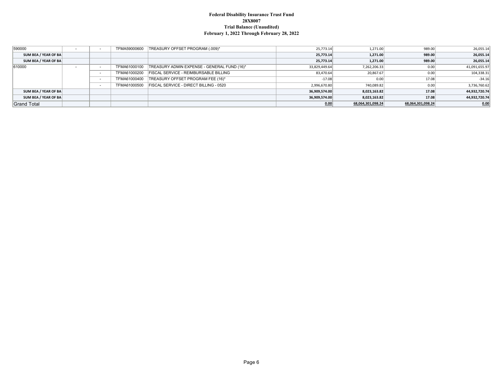#### **Federal Disability Insurance Trust Fund 28X8007 Trial Balance (Unaudited) February 1, 2022 Through February 28, 2022**

| 590000               |  | TFMA59000600 | TREASURY OFFSET PROGRAM (.009)*               | 25,773.14     | 1.271.00          | 989.00            | 26,055.14     |
|----------------------|--|--------------|-----------------------------------------------|---------------|-------------------|-------------------|---------------|
| SUM BEA / YEAR OF BA |  |              |                                               | 25,773.14     | 1.271.00          | 989.00            | 26,055.14     |
| SUM BEA / YEAR OF BA |  |              |                                               | 25.773.14     | 1,271.00          | 989.00            | 26,055.14     |
| 610000               |  | TFMA61000100 | TREASURY ADMIN EXPENSE - GENERAL FUND (16)*   | 33,829,449.64 | 7,262,206.33      | 0.00              | 41,091,655.97 |
|                      |  | TFMA61000200 | <b>FISCAL SERVICE - REIMBURSABLE BILLING</b>  | 83,470.64     | 20,867.67         | 0.00              | 104,338.31    |
|                      |  | TFMA61000400 | TREASURY OFFSET PROGRAM FEE (16)*             | $-17.08$      | 0.00              | 17.08             | $-34.16$      |
|                      |  | TFMA61000500 | <b>FISCAL SERVICE - DIRECT BILLING - 0520</b> | 2,996,670.80  | 740,089.82        | 0.00              | 3,736,760.62  |
| SUM BEA / YEAR OF BA |  |              |                                               | 36,909,574.00 | 8,023,163.82      | 17.08             | 44,932,720.74 |
| SUM BEA / YEAR OF BA |  |              |                                               | 36,909,574.00 | 8,023,163.82      | 17.08             | 44,932,720.74 |
| <b>Grand Total</b>   |  |              |                                               | 0.00          | 68,064,301,098.24 | 68,064,301,098.24 | 0.00          |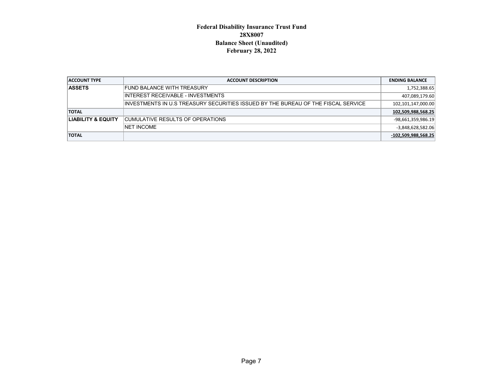### **Federal Disability Insurance Trust Fund 28X8007 Balance Sheet (Unaudited) February 28, 2022**

| <b>ACCOUNT TYPE</b>           | <b>ACCOUNT DESCRIPTION</b>                                                         | <b>ENDING BALANCE</b> |
|-------------------------------|------------------------------------------------------------------------------------|-----------------------|
| <b>ASSETS</b>                 | <b>FUND BALANCE WITH TREASURY</b>                                                  | 1,752,388.65          |
|                               | INTEREST RECEIVABLE - INVESTMENTS                                                  | 407,089,179.60        |
|                               | IINVESTMENTS IN U.S TREASURY SECURITIES ISSUED BY THE BUREAU OF THE FISCAL SERVICE | 102,101,147,000.00    |
| <b>TOTAL</b>                  |                                                                                    | 102,509,988,568.25    |
| <b>LIABILITY &amp; EQUITY</b> | ICUMULATIVE RESULTS OF OPERATIONS                                                  | -98,661,359,986.19    |
|                               | <b>NET INCOME</b>                                                                  | -3,848,628,582.06     |
| <b>TOTAL</b>                  |                                                                                    | -102,509,988,568.25   |